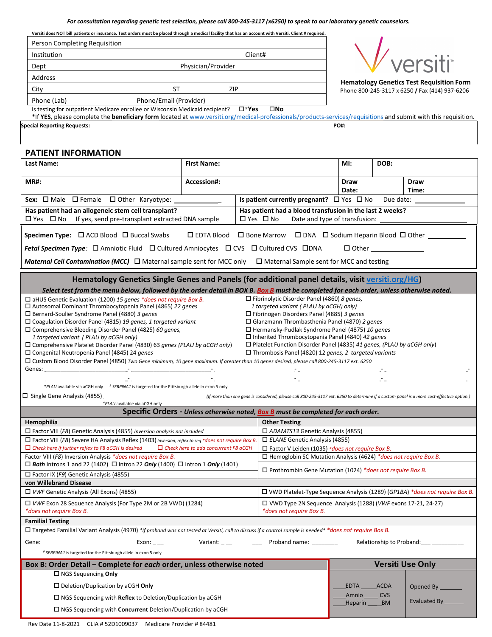**Versiti does NOT bill patients or insurance. Test orders must be placed through a medical facility that has an account with Versiti. Client # required.**

| Person Completing Requisition                                                                                                                                                                          |                    |  |                                                                                                  |                                       |                                                                                                                                           |  |
|--------------------------------------------------------------------------------------------------------------------------------------------------------------------------------------------------------|--------------------|--|--------------------------------------------------------------------------------------------------|---------------------------------------|-------------------------------------------------------------------------------------------------------------------------------------------|--|
| Client#<br>Institution                                                                                                                                                                                 |                    |  |                                                                                                  |                                       |                                                                                                                                           |  |
| Dept                                                                                                                                                                                                   | Physician/Provider |  |                                                                                                  |                                       | // versiti                                                                                                                                |  |
| Address                                                                                                                                                                                                |                    |  |                                                                                                  |                                       |                                                                                                                                           |  |
| <b>ST</b><br>City                                                                                                                                                                                      | ZIP                |  |                                                                                                  |                                       | <b>Hematology Genetics Test Requisition Form</b><br>Phone 800-245-3117 x 6250 / Fax (414) 937-6206                                        |  |
| Phone/Email (Provider)<br>Phone (Lab)                                                                                                                                                                  |                    |  |                                                                                                  |                                       |                                                                                                                                           |  |
| Is testing for outpatient Medicare enrollee or Wisconsin Medicaid recipient?<br>$\square^*$ Yes                                                                                                        |                    |  | $\square$ No                                                                                     |                                       |                                                                                                                                           |  |
| *If YES, please complete the beneficiary form located at www.versiti.org/medical-professionals/products-services/requisitions and submit with this requisition.                                        |                    |  |                                                                                                  |                                       |                                                                                                                                           |  |
| <b>Special Reporting Requests:</b>                                                                                                                                                                     |                    |  |                                                                                                  | PO#:                                  |                                                                                                                                           |  |
|                                                                                                                                                                                                        |                    |  |                                                                                                  |                                       |                                                                                                                                           |  |
| PATIENT INFORMATION                                                                                                                                                                                    |                    |  |                                                                                                  |                                       |                                                                                                                                           |  |
| Last Name:                                                                                                                                                                                             | <b>First Name:</b> |  |                                                                                                  | MI:                                   | DOB:                                                                                                                                      |  |
| <b>MR#:</b>                                                                                                                                                                                            | Accession#:        |  |                                                                                                  | <b>Draw</b><br>Date:                  | <b>Draw</b><br>Time:                                                                                                                      |  |
|                                                                                                                                                                                                        |                    |  | Is patient currently pregnant? $\Box$ Yes $\Box$ No                                              |                                       | Due date: ___________                                                                                                                     |  |
| Has patient had an allogeneic stem cell transplant?                                                                                                                                                    |                    |  | Has patient had a blood transfusion in the last 2 weeks?                                         |                                       |                                                                                                                                           |  |
| $\Box$ Yes $\Box$ No If yes, send pre-transplant extracted DNA sample                                                                                                                                  |                    |  | $\Box$ Yes $\Box$ No                                                                             |                                       |                                                                                                                                           |  |
| <b>Specimen Type:</b> $\Box$ ACD Blood $\Box$ Buccal Swabs                                                                                                                                             |                    |  | □ EDTA Blood □ Bone Marrow □ DNA □ Sodium Heparin Blood □ Other                                  |                                       |                                                                                                                                           |  |
| Fetal Specimen Type: □ Amniotic Fluid □ Cultured Amniocytes □ CVS □ Cultured CVS □ DNA                                                                                                                 |                    |  |                                                                                                  |                                       | $\Box$ Other                                                                                                                              |  |
| Maternal Cell Contamination (MCC) □ Maternal sample sent for MCC only □ Maternal Sample sent for MCC and testing                                                                                       |                    |  |                                                                                                  |                                       |                                                                                                                                           |  |
|                                                                                                                                                                                                        |                    |  |                                                                                                  |                                       |                                                                                                                                           |  |
| Hematology Genetics Single Genes and Panels (for additional panel details, visit versiti.org/HG)                                                                                                       |                    |  |                                                                                                  |                                       |                                                                                                                                           |  |
| Select test from the menu below, followed by the order detail in BOX B. Box B must be completed for each order, unless otherwise noted.                                                                |                    |  |                                                                                                  |                                       |                                                                                                                                           |  |
| $\Box$ aHUS Genetic Evaluation (1200) 15 genes *does not require Box B.                                                                                                                                |                    |  | $\Box$ Fibrinolytic Disorder Panel (4860) 8 genes,                                               |                                       |                                                                                                                                           |  |
| $\Box$ Autosomal Dominant Thrombocytopenia Panel (4865) 22 genes<br>$\Box$ Bernard-Soulier Syndrome Panel (4880) 3 genes                                                                               |                    |  | 1 targeted variant (PLAU by aCGH) only)<br>$\Box$ Fibrinogen Disorders Panel (4885) 3 genes      |                                       |                                                                                                                                           |  |
| $\Box$ Coagulation Disorder Panel (4815) 19 genes, 1 targeted variant                                                                                                                                  |                    |  | $\Box$ Glanzmann Thrombasthenia Panel (4870) 2 genes                                             |                                       |                                                                                                                                           |  |
| $\square$ Comprehensive Bleeding Disorder Panel (4825) 60 genes,                                                                                                                                       |                    |  | □ Hermansky-Pudlak Syndrome Panel (4875) 10 genes                                                |                                       |                                                                                                                                           |  |
| 1 targeted variant (PLAU by aCGH only)                                                                                                                                                                 |                    |  | $\Box$ Inherited Thrombocytopenia Panel (4840) 42 genes                                          |                                       |                                                                                                                                           |  |
| □ Comprehensive Platelet Disorder Panel (4830) 63 genes (PLAU by aCGH only)                                                                                                                            |                    |  | $\Box$ Platelet Function Disorder Panel (4835) 41 genes, (PLAU by aCGH only)                     |                                       |                                                                                                                                           |  |
| $\square$ Congenital Neutropenia Panel (4845) 24 genes<br>□ Custom Blood Disorder Panel (4850) Two Gene minimum, 10 gene maximum. If greater than 10 genes desired, please call 800-245-3117 ext. 6250 |                    |  | $\Box$ Thrombosis Panel (4820) 12 genes, 2 targeted variants                                     |                                       |                                                                                                                                           |  |
|                                                                                                                                                                                                        |                    |  |                                                                                                  |                                       |                                                                                                                                           |  |
| *PLAU available via aCGH only <sup>5</sup> SERPINA1 is targeted for the Pittsburgh allele in exon 5 only                                                                                               |                    |  |                                                                                                  |                                       |                                                                                                                                           |  |
| $\Box$ Single Gene Analysis (4855)                                                                                                                                                                     |                    |  |                                                                                                  |                                       | (If more than one gene is considered, please call 800-245-3117 ext. 6250 to determine if a custom panel is a more cost-effective option.) |  |
| *PLAU available via aCGH only                                                                                                                                                                          |                    |  |                                                                                                  |                                       |                                                                                                                                           |  |
|                                                                                                                                                                                                        |                    |  | Specific Orders - Unless otherwise noted, Box B must be completed for each order.                |                                       |                                                                                                                                           |  |
| Hemophilia<br>$\Box$ Factor VIII (F8) Genetic Analysis (4855) Inversion analysis not included                                                                                                          |                    |  | <b>Other Testing</b>                                                                             |                                       |                                                                                                                                           |  |
| $\Box$ Factor VIII (F8) Severe HA Analysis Reflex (1403) inversion, reflex to seq *does not require Box B.                                                                                             |                    |  | □ ADAMTS13 Genetic Analysis (4855)<br>$\Box$ ELANE Genetic Analysis (4855)                       |                                       |                                                                                                                                           |  |
| $\Box$ Check here if further reflex to F8 aCGH is desired<br>$\Box$ Check here to add concurrent F8 aCGH                                                                                               |                    |  | $\Box$ Factor V Leiden (1035) *does not require Box B.                                           |                                       |                                                                                                                                           |  |
| Factor VIII (F8) Inversion Analysis *does not require Box B.                                                                                                                                           |                    |  | $\Box$ Hemoglobin SC Mutation Analysis (4624) *does not require Box B.                           |                                       |                                                                                                                                           |  |
| $\Box$ Both Introns 1 and 22 (1402) $\Box$ Intron 22 Only (1400) $\Box$ Intron 1 Only (1401)<br>$\Box$ Factor IX (F9) Genetic Analysis (4855)                                                          |                    |  | $\Box$ Prothrombin Gene Mutation (1024) *does not require Box B.                                 |                                       |                                                                                                                                           |  |
| von Willebrand Disease                                                                                                                                                                                 |                    |  |                                                                                                  |                                       |                                                                                                                                           |  |
| □ VWF Genetic Analysis (All Exons) (4855)                                                                                                                                                              |                    |  | □ VWD Platelet-Type Sequence Analysis (1289) (GP1BA) *does not require Box B.                    |                                       |                                                                                                                                           |  |
| $\Box$ VWF Exon 28 Sequence Analysis (For Type 2M or 2B VWD) (1284)<br>*does not require Box B.                                                                                                        |                    |  | $\Box$ VWD Type 2N Sequence Analysis (1288) (VWF exons 17-21, 24-27)<br>*does not require Box B. |                                       |                                                                                                                                           |  |
| <b>Familial Testing</b>                                                                                                                                                                                |                    |  |                                                                                                  |                                       |                                                                                                                                           |  |
| □ Targeted Familial Variant Analysis (4970) */f proband was not tested at Versiti, call to discuss if a control sample is needed* *does not require Box B.                                             |                    |  |                                                                                                  |                                       |                                                                                                                                           |  |
|                                                                                                                                                                                                        |                    |  |                                                                                                  |                                       |                                                                                                                                           |  |
| <sup>§</sup> SERPINA1 is targeted for the Pittsburgh allele in exon 5 only                                                                                                                             |                    |  |                                                                                                  |                                       |                                                                                                                                           |  |
| Box B: Order Detail - Complete for each order, unless otherwise noted                                                                                                                                  |                    |  |                                                                                                  |                                       | <b>Versiti Use Only</b>                                                                                                                   |  |
| $\Box$ NGS Sequencing Only                                                                                                                                                                             |                    |  |                                                                                                  |                                       |                                                                                                                                           |  |
| $\square$ Deletion/Duplication by aCGH Only                                                                                                                                                            |                    |  |                                                                                                  | EDTA ACDA                             | Opened By _____                                                                                                                           |  |
| $\Box$ NGS Sequencing with Reflex to Deletion/Duplication by aCGH                                                                                                                                      |                    |  |                                                                                                  | Amnio ______ CVS<br>Heparin ______ BM | Evaluated By                                                                                                                              |  |
| $\Box$ NGS Sequencing with Concurrent Deletion/Duplication by aCGH                                                                                                                                     |                    |  |                                                                                                  |                                       |                                                                                                                                           |  |